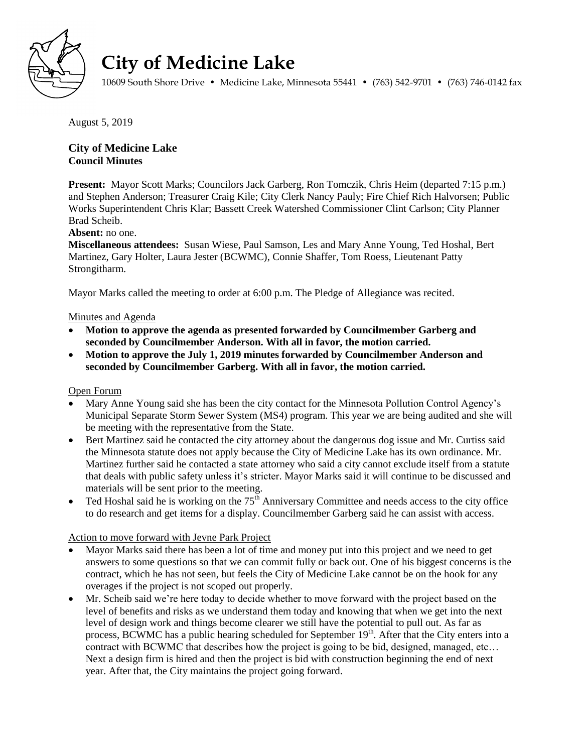

# **City of Medicine Lake**

10609 South Shore Drive • Medicine Lake, Minnesota 55441 • (763) 542-9701 • (763) 746-0142 fax

August 5, 2019

# **City of Medicine Lake Council Minutes**

**Present:** Mayor Scott Marks; Councilors Jack Garberg, Ron Tomczik, Chris Heim (departed 7:15 p.m.) and Stephen Anderson; Treasurer Craig Kile; City Clerk Nancy Pauly; Fire Chief Rich Halvorsen; Public Works Superintendent Chris Klar; Bassett Creek Watershed Commissioner Clint Carlson; City Planner Brad Scheib.

# **Absent:** no one.

**Miscellaneous attendees:** Susan Wiese, Paul Samson, Les and Mary Anne Young, Ted Hoshal, Bert Martinez, Gary Holter, Laura Jester (BCWMC), Connie Shaffer, Tom Roess, Lieutenant Patty Strongitharm.

Mayor Marks called the meeting to order at 6:00 p.m. The Pledge of Allegiance was recited.

## Minutes and Agenda

- **Motion to approve the agenda as presented forwarded by Councilmember Garberg and seconded by Councilmember Anderson. With all in favor, the motion carried.**
- **Motion to approve the July 1, 2019 minutes forwarded by Councilmember Anderson and seconded by Councilmember Garberg. With all in favor, the motion carried.**

### Open Forum

- Mary Anne Young said she has been the city contact for the Minnesota Pollution Control Agency's Municipal Separate Storm Sewer System (MS4) program. This year we are being audited and she will be meeting with the representative from the State.
- Bert Martinez said he contacted the city attorney about the dangerous dog issue and Mr. Curtiss said the Minnesota statute does not apply because the City of Medicine Lake has its own ordinance. Mr. Martinez further said he contacted a state attorney who said a city cannot exclude itself from a statute that deals with public safety unless it's stricter. Mayor Marks said it will continue to be discussed and materials will be sent prior to the meeting.
- Ted Hoshal said he is working on the  $75<sup>th</sup>$  Anniversary Committee and needs access to the city office to do research and get items for a display. Councilmember Garberg said he can assist with access.

# Action to move forward with Jevne Park Project

- Mayor Marks said there has been a lot of time and money put into this project and we need to get answers to some questions so that we can commit fully or back out. One of his biggest concerns is the contract, which he has not seen, but feels the City of Medicine Lake cannot be on the hook for any overages if the project is not scoped out properly.
- Mr. Scheib said we're here today to decide whether to move forward with the project based on the level of benefits and risks as we understand them today and knowing that when we get into the next level of design work and things become clearer we still have the potential to pull out. As far as process, BCWMC has a public hearing scheduled for September  $19<sup>th</sup>$ . After that the City enters into a contract with BCWMC that describes how the project is going to be bid, designed, managed, etc… Next a design firm is hired and then the project is bid with construction beginning the end of next year. After that, the City maintains the project going forward.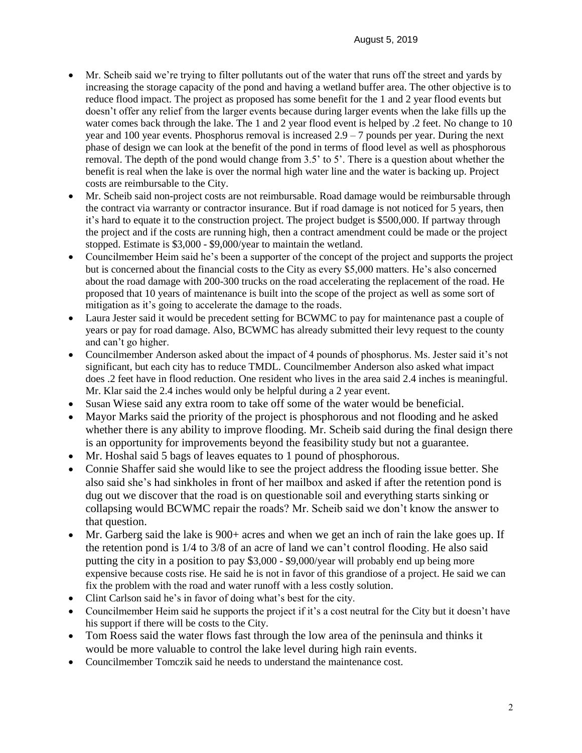- Mr. Scheib said we're trying to filter pollutants out of the water that runs off the street and yards by increasing the storage capacity of the pond and having a wetland buffer area. The other objective is to reduce flood impact. The project as proposed has some benefit for the 1 and 2 year flood events but doesn't offer any relief from the larger events because during larger events when the lake fills up the water comes back through the lake. The 1 and 2 year flood event is helped by .2 feet. No change to 10 year and 100 year events. Phosphorus removal is increased  $2.9 - 7$  pounds per year. During the next phase of design we can look at the benefit of the pond in terms of flood level as well as phosphorous removal. The depth of the pond would change from 3.5' to 5'. There is a question about whether the benefit is real when the lake is over the normal high water line and the water is backing up. Project costs are reimbursable to the City.
- Mr. Scheib said non-project costs are not reimbursable. Road damage would be reimbursable through the contract via warranty or contractor insurance. But if road damage is not noticed for 5 years, then it's hard to equate it to the construction project. The project budget is \$500,000. If partway through the project and if the costs are running high, then a contract amendment could be made or the project stopped. Estimate is \$3,000 - \$9,000/year to maintain the wetland.
- Councilmember Heim said he's been a supporter of the concept of the project and supports the project but is concerned about the financial costs to the City as every \$5,000 matters. He's also concerned about the road damage with 200-300 trucks on the road accelerating the replacement of the road. He proposed that 10 years of maintenance is built into the scope of the project as well as some sort of mitigation as it's going to accelerate the damage to the roads.
- Laura Jester said it would be precedent setting for BCWMC to pay for maintenance past a couple of years or pay for road damage. Also, BCWMC has already submitted their levy request to the county and can't go higher.
- Councilmember Anderson asked about the impact of 4 pounds of phosphorus. Ms. Jester said it's not significant, but each city has to reduce TMDL. Councilmember Anderson also asked what impact does .2 feet have in flood reduction. One resident who lives in the area said 2.4 inches is meaningful. Mr. Klar said the 2.4 inches would only be helpful during a 2 year event.
- Susan Wiese said any extra room to take off some of the water would be beneficial.
- Mayor Marks said the priority of the project is phosphorous and not flooding and he asked whether there is any ability to improve flooding. Mr. Scheib said during the final design there is an opportunity for improvements beyond the feasibility study but not a guarantee.
- Mr. Hoshal said 5 bags of leaves equates to 1 pound of phosphorous.
- Connie Shaffer said she would like to see the project address the flooding issue better. She also said she's had sinkholes in front of her mailbox and asked if after the retention pond is dug out we discover that the road is on questionable soil and everything starts sinking or collapsing would BCWMC repair the roads? Mr. Scheib said we don't know the answer to that question.
- Mr. Garberg said the lake is 900+ acres and when we get an inch of rain the lake goes up. If the retention pond is 1/4 to 3/8 of an acre of land we can't control flooding. He also said putting the city in a position to pay \$3,000 - \$9,000/year will probably end up being more expensive because costs rise. He said he is not in favor of this grandiose of a project. He said we can fix the problem with the road and water runoff with a less costly solution.
- Clint Carlson said he's in favor of doing what's best for the city.
- Councilmember Heim said he supports the project if it's a cost neutral for the City but it doesn't have his support if there will be costs to the City.
- Tom Roess said the water flows fast through the low area of the peninsula and thinks it would be more valuable to control the lake level during high rain events.
- Councilmember Tomczik said he needs to understand the maintenance cost.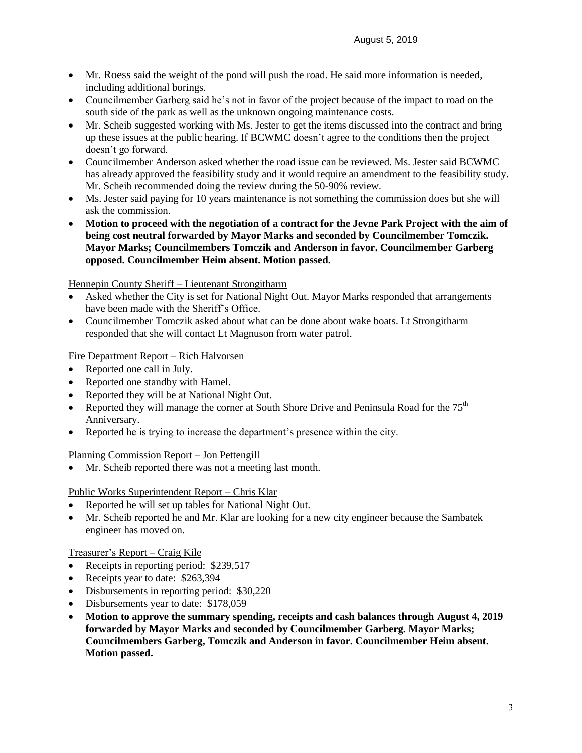- Mr. Roess said the weight of the pond will push the road. He said more information is needed, including additional borings.
- Councilmember Garberg said he's not in favor of the project because of the impact to road on the south side of the park as well as the unknown ongoing maintenance costs.
- Mr. Scheib suggested working with Ms. Jester to get the items discussed into the contract and bring up these issues at the public hearing. If BCWMC doesn't agree to the conditions then the project doesn't go forward.
- Councilmember Anderson asked whether the road issue can be reviewed. Ms. Jester said BCWMC has already approved the feasibility study and it would require an amendment to the feasibility study. Mr. Scheib recommended doing the review during the 50-90% review.
- Ms. Jester said paying for 10 years maintenance is not something the commission does but she will ask the commission.
- **Motion to proceed with the negotiation of a contract for the Jevne Park Project with the aim of being cost neutral forwarded by Mayor Marks and seconded by Councilmember Tomczik. Mayor Marks; Councilmembers Tomczik and Anderson in favor. Councilmember Garberg opposed. Councilmember Heim absent. Motion passed.**

## Hennepin County Sheriff – Lieutenant Strongitharm

- Asked whether the City is set for National Night Out. Mayor Marks responded that arrangements have been made with the Sheriff's Office.
- Councilmember Tomczik asked about what can be done about wake boats. Lt Strongitharm responded that she will contact Lt Magnuson from water patrol.

## Fire Department Report – Rich Halvorsen

- Reported one call in July.
- Reported one standby with Hamel.
- Reported they will be at National Night Out.
- Reported they will manage the corner at South Shore Drive and Peninsula Road for the  $75<sup>th</sup>$ Anniversary.
- Reported he is trying to increase the department's presence within the city.

### Planning Commission Report – Jon Pettengill

Mr. Scheib reported there was not a meeting last month.

### Public Works Superintendent Report – Chris Klar

- Reported he will set up tables for National Night Out.
- Mr. Scheib reported he and Mr. Klar are looking for a new city engineer because the Sambatek engineer has moved on.

### Treasurer's Report – Craig Kile

- Receipts in reporting period: \$239,517
- Receipts year to date: \$263,394
- Disbursements in reporting period: \$30,220
- Disbursements year to date: \$178,059
- **Motion to approve the summary spending, receipts and cash balances through August 4, 2019 forwarded by Mayor Marks and seconded by Councilmember Garberg. Mayor Marks; Councilmembers Garberg, Tomczik and Anderson in favor. Councilmember Heim absent. Motion passed.**